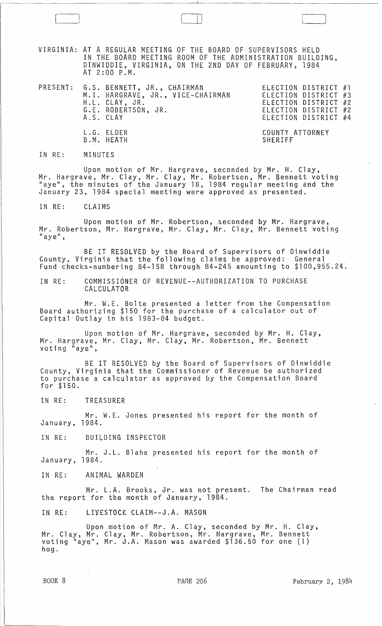VIRGINIA: AT A REGULAR MEETING OF THE BOARD OF SUPERVISORS HELD IN THE BOARD MEETING ROOM OF THE ADMINISTRATION BUILDING, DINWIDDIE, VIRGINIA, ON THE 2ND DAY OF FEBRUARY, 1984 AT 2:00 P.M.

 $\begin{bmatrix} 1 & 1 & 1 \\ 1 & 1 & 1 \end{bmatrix}$ 

|  | PRESENT: G.S. BENNETT, JR., CHAIRMAN<br>M.I. HARGRAVE, JR., VICE-CHAIRMAN<br>H.L. CLAY, JR.<br>G.E. ROBERTSON, JR.<br>A.S. CLAY | ELECTION DISTRICT #1<br>ELECTION DISTRICT #3<br>ELECTION DISTRICT #2<br>ELECTION DISTRICT #2<br>ELECTION DISTRICT #4 |
|--|---------------------------------------------------------------------------------------------------------------------------------|----------------------------------------------------------------------------------------------------------------------|
|  | L.G. ELDER<br>B.M. HEATH                                                                                                        | COUNTY ATTORNEY<br>SHERIFF                                                                                           |

IN RE: MINUTES

Upon motion of Mr. Hargrave, seconded by Mr. H. Clay, Mr. Hargrave, Mr. Clay, Mr. Clay, Mr. Robertson, Mr. Bennett voting "aye", the minutes of the January 18, 1984 regular meeting and the January 23, 1984 special meeting were approved as presented.

IN RE: CLAIMS

Upon motion of Mr. Robertson, seconded by Mr. Hargrave, Mr. Robertson, Mr. Hargrave, Mr. Clay, Mr. Clay, Mr. Bennett voting<br>"aye",

BE IT RESOLVED by the Board of Supervisors of Dinwiddie County, Virginia that the following claims be approved: General Fund checks-numbering 84-158 through 84-245 amounting to \$100,955.24.

IN RE: COMMISSIONER OF REVENUE--AUTHORIZATION TO PURCHASE CALCULATOR

Mr. W.E. Bolte presented a letter from the Compensation Board authorizing \$150 for the purchase of a calculator out of Capital· Outlay in his 1983-84 budget.

Upon motion of Mr. Hargrave, seconded by Mr. H. Clay, Mr. Hargrave, Mr. Clay, Mr. Clay, Mr. Robertson, Mr. Bennett voting "aye",

BE IT RESOLVED by the Board of Supervisors of Dinwiddie County, Virginia that the Commissioner of Revenue be authorized to purchase a calculator as approved by the Compensation Board for \$150.

IN RE: TREASURER

Mr. W.E. Jones presented his report for the month of January, 1984.

IN RE: BUILDING INSPECTOR

Mr. J.L. Blaha presented his report for the month of January, 1984.

IN RE: ANIMAL WARDEN

Mr. L.A. Brooks, Jr. was not present. The Chairman read the report for the month of January, 1984.

IN RE: LIVESTOCK CLAIM--J.A. MASON

Upon motton of Mr. A. Clay, seconded by Mr. H. Clay, Mr. Clay, Mr. Clay, Mr. Robertson, Mr. Hargrave, Mr. Bennett voting "aye", Mr. J.A. Mason was awarded \$136.50 for one (1) hog.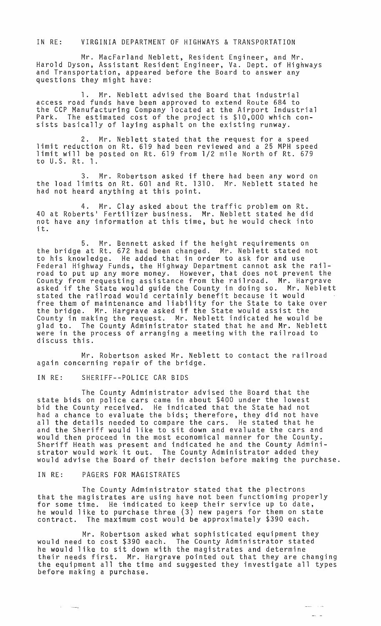IN RE: VIRGINIA DEPARTMENT OF HIGHWAYS & TRANSPORTATION

Mr. MacFarland Neblett, Resident Engineer, and Mr. Harold Dyson, Assistant Resident Engineer, Va. Dept. of Highways and Transportation, appeared before the Board to answer any questions they might have:

**1.** Mr. Neblett advised the Board that industrial access road funds have been approved to extend Route 684 to the CCP Manufacturing Company located at the Airport Industrial Park. The estimated cost of the project is \$10,000 which consists basically of laying asphalt on the existing runway.

2. Mr. Neblett stated that the request for a speed limit reduction on Rt. 619 had been reviewed and a 25 MPH speed limit will be posted on Rt. 619 from 1/2 mile North of Rt. 679 to U.S. Rt. 1.

3. Mr. Robertson asked if there had been any word on the load limits on Rt. 601 and Rt. 1310. Mr. Neblett stated he had not heard anything at this point.

4. Mr. Clay asked about the traffic problem on Rt. 40 at Roberts· Fertilizer business. Mr. Neblett stated he did not have any information at this time, but he would check into it.

5. Mr. Bennett asked if the height requirements on the bridge at Rt. 672 had been changed. Mr. Neblett stated not to his knowledge. He added that in order to ask for and use Federal Highway Funds, the Highway Department cannot ask the railroad to put up any more money. However, that does not prevent the County from requesting assistance from the railroad. Mr. Hargrave asked if the State would guide the County in doing so. Mr. Neblett stated the railroad would certainly benefit because it would free them of maintenance and liability for the State to take over the bridge. Mr. Hargrave asked if the State would assist the County in making the request. Mr. Neblett indicated he would be glad to. The County Administrator stated that he and Mr. Neblett were in the process of arranging a meeting with the railroad to discuss this.

Mr. Robertson asked Mr. Neblett to contact the railroad again concerning repair of the bridge.

IN RE: SHERIFF--POLICE CAR BIDS

The County Administrator advised the Board that the state bids on police cars came in about \$400 under the lowest bid the County received. He indicated that the State had not had a chance to evaluate the bids; therefore, they did not have all the details needed to compare the cars. He stated that he and the Sheriff would like to sit down and evaluate the cars and would then proceed in the most economical manner for the County.<br>Sheriff Heath was present and indicated he and the County Admini-Sheriff Heath was present and indicated he and the County Admini-<br>strator would work it out. The County Administrator added they would advise the Board of their decision before making the purchase.

## IN RE: PAGERS FOR MAGISTRATES

مستد

The County Administrator stated that the plectrons that the magistrates are using have not been functioning properly he would like to purchase three (3) new pagers for them on state contract. The maximum cost would be approximately \$390 each.

Mr. Robertson asked what sophisticated equipment they would need to cost \$390 each. The County Administrator stated he would like to sit down with the magistrates and determine their needs first. Mr. Hargrave pointed out that they are changing the equipment all the time and suggested they investigate all types before making a purchase.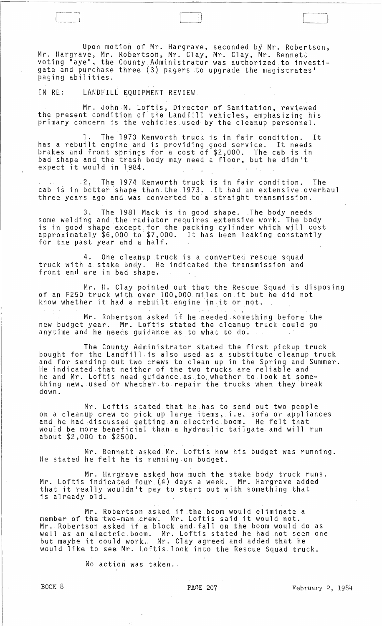Upon motion of Mr. Hargrave, seconded by Mr. Robertson, Mr. Hargrave, Mr. Robertson, Mr. Clay, Mr. Clay, Mr. Bennett voting "aye", the County Administrator was authorized to investigate and purchase three (3) pagers to upgrade the magistrates ' paging abilities.

[--j [~-

IN RE: LANDFILL EQUIPMENT REVIEW

Mr. John M. Loftis, Director of Sanitation, reviewed the present condition of' the Landfill vehicles, emphasizing his primary cancern is the vehicles used by the cleanup personnel.

The 1973 Kenworth truck is in fair condition. It has a rebuilt engine and is providing good service. It needs brakes and front springs for a cost of \$2,000. The cab is in bad shape and the trash body may need a floor, but he didn't expect it would in 1984 .

. 2. The 1974 Kenworth truck is in fair condition. The 2. The 1974 Kenworth truck is in fair condition. The<br>cab is in better shape than the 1973. It had an extensive overhaul three years ago and was converted to a straight transmission.

3. The 1981 Mack is in gaod shape. The body needs some welding and the radiator requires extensive work. The body is in good shape except for the packing cylinder which will cost approximately \$6,000 to \$7,000. It has been leaking constantly for the past year and a half.

4. One cleanup truck is a converted rescue squad truck with a stake body. He indicated the transmission and front end are in bad shape.

Mr. **H.** Clay pointed out that the Rescue Squad is disposing of an F250 truck with over 100,000.miles on,it but he did not know whether it had a rebuilt engine in it or not...

Mr. Robertson asked if he needed something before the new budget year. Mr. Laftis stated the cleanup truck could go. anytime and he needs guidance as to what to do.

The County Administrator stated the first pickup truck bought for the Landfill ,is also used as a substitute cleanup truck and for sending out two crews to clean up in the Spring and Summer. He indicated.that neither of the two trucks are reliable and he and Mr. Loftis need guidance, as, to, whether to look at something new, used or whether to, repair the trucks when they break dawn.

Mr. Loftis stated that he,has to send out two people on a cleanup crew to pick up large items, i.e. sofa or appliances and he had discussed getting an electric boom. He felt that would be more beneficial than a hydraulic tailgate and will run about \$2,000 to \$2500.

Mr. Bennett asked. Mr. Loftis haw his budget was running. He stated he felt he is running on budget.

Mr. Hargrave asked how much the stake body truck runs. Mr. Loftis indicated four (4) days a week. Mr. Hargrave added that it really wouldn't pay to start out with something that is already old.

Mr. Robertson asked if the boom would eliminate a member of the two-man crew. Mr. Loftis said it would not. Mr. Robertson asked if a block and fall on the boom would do as well as an electric boom. Mr. Loftis stated he had not seen one but maybe it could work., Mr. Clay agreed and added that he would like to see Mr. Loftis look into the Rescue Squad truck.

No action was taken.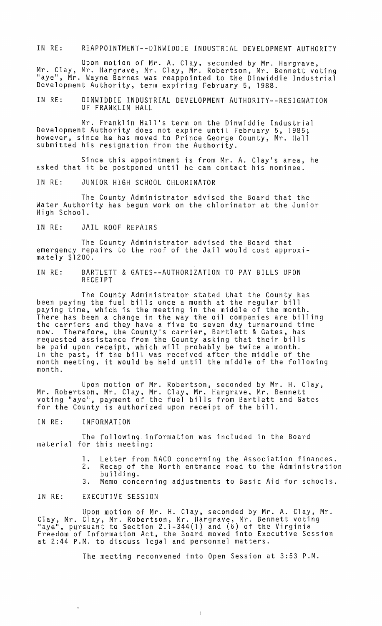IN RE: REAPPOINTMENT--DINWIDDIE INDUSTRIAL DEVELOPMENT AUTHORITY

Upon motion of Mr. A. Clay, seconded by Mr. Hargrave, Mr. Clay, Mr. Hargrave, Mr. Clay, Mr. Robertson, Mr. Bennett voting "aye", Mr. Wayne Barnes was reappointed to the Dinwiddie Industrial Development Authority, term expiring February 5, 1988.

IN RE: DINWIDDIE INDUSTRIAL DEVELOPMENT AUTHORITY--RESIGNATION OF FRANKLIN HALL

Mr. Franklin Hall's term on the Dinwiddie Industrial Development Authority does not expire until February 5, 1985; however, since he has moved to Prince George County, Mr. Hall submitted his resignation from the Authority.

Since this appointment is from Mr. A. Clay's area, he asked that it be postponed until he can contact his nominee.

IN RE: JUNIOR HIGH SCHOOL CHLORINATOR

The County Administrator advised the Board that the Water Authority has begun work on the chlorinator at the Junior High School.

IN RE: JAIL ROOF REPAIRS

The County Administrator advised the Board that emergency repairs to the roof of the Jail would cost approxi- mately \$1200.

IN RE: BARTLETT & GATES--AUTHORIZATION TO PAY BILLS UPON RECEIPT

The County Administrator stated that the County has been paying the fuel bills once a month at the regular bill paying time, which is the meeting in the middle of the month. There has been a change in the way the oil companies are billing the carriers and they have a five to seven day turnaround time now. Therefore, the County's carrier, Bartlett & Gates, has requested assistance from the County asking that their bills be paid upon receipt, which will probably be twice a month. In the past, if the bill was received after the middle of the month meeting, it would be held until the middle of the following month.

Upon motion of Mr. Robertson, seconded by Mr. H. Clay, Mr. Robertson, Mr. Clay, Mr. Clay, Mr. Hargrave, Mr. Bennett voting "aye", payment of the fuel bills from Bartlett and Gates for the County is authorized upon receipt of the bill.

IN RE: INFORMATION

The following information was included in the Board material for this meeting:

- 1. Letter from NACO concerning the Association finances.
- 2. Recap of the North entrance road to the Administration building.
- 3. Memo concerning adjustments to Basic Aid for schools.

## IN RE: EXECUTIVE SESSION

Upon motion of Mr. H. Clay, seconded by Mr. A. Clay, Mr. Clay, Mr. Clay, Mr. Robertson, Mr. Hargrave, Mr. Bennett voting<br>"aye", pursuant to Section 2.1-344(1) and (6) of the Virginia<br>Freedom of Information Act, the Board moved into Executive Session at 2:44 P.M. to discuss legal and personnel matters.

The meeting reconvened into Open Session at 3:53 P.M.

j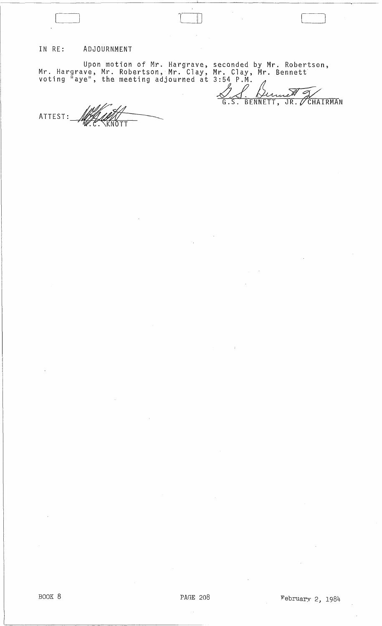## IN RE: ADJOURNMENT

Upon motion of Mr. Hargrave, Mr. Hargrave, Mr. Robertson, Mr. Clay, voting "aye", the meeting adjourned at Upon motion of Mr. Hargrave, seconded<br>ave, Mr. Robertson, Mr. Clay, Mr. Clay<br>ye", the meeting adjourned at 3:54 P.M<br>6.S. seconded by Mr. Robertson, Mr. Clay, Mr. Bennett  $3:54$  P.M.

<u>(Dernell J/</u>

ATTEST: W.C. KNOTT